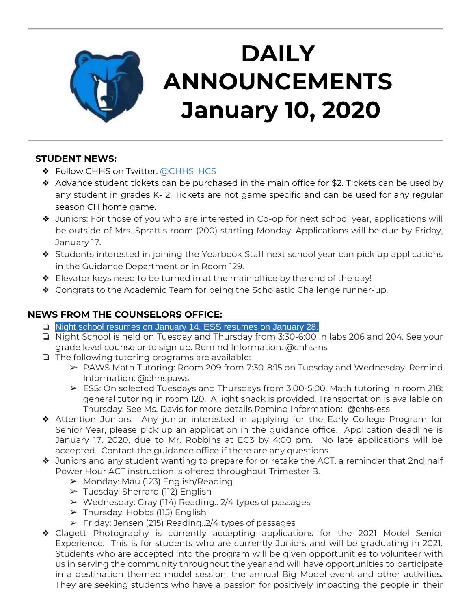

# **DAILY ANNOUNCEMENTS January 10, 2020**

### **STUDENT NEWS:**

- ❖ Follow CHHS on Twitter: [@CHHS\\_HCS](https://twitter.com/CHHS_HCS)
- ❖ Advance student tickets can be purchased in the main office for \$2. Tickets can be used by any student in grades K-12. Tickets are not game specific and can be used for any regular season CH home game.
- ❖ Juniors: For those of you who are interested in Co-op for next school year, applications will be outside of Mrs. Spratt's room (200) starting Monday. Applications will be due by Friday, January 17.
- ❖ Students interested in joining the Yearbook Staff next school year can pick up applications in the Guidance Department or in Room 129.
- ❖ Elevator keys need to be turned in at the main office by the end of the day!
- ❖ Congrats to the Academic Team for being the Scholastic Challenge runner-up.

## **NEWS FROM THE COUNSELORS OFFICE:**

- ❏ Night school resumes on January 14. ESS resumes on January 28.
- ❏ Night School is held on Tuesday and Thursday from 3:30-6:00 in labs 206 and 204. See your grade level counselor to sign up. Remind Information: @chhs-ns
- ❏ The following tutoring programs are available:
	- ➢ PAWS Math Tutoring: Room 209 from 7:30-8:15 on Tuesday and Wednesday. Remind Information: @chhspaws
	- $\triangleright$  ESS: On selected Tuesdays and Thursdays from 3:00-5:00. Math tutoring in room 218; general tutoring in room 120. A light snack is provided. Transportation is available on Thursday. See Ms. Davis for more details Remind Information: @chhs-ess
- ❖ Attention Juniors: Any junior interested in applying for the Early College Program for Senior Year, please pick up an application in the guidance office. Application deadline is January 17, 2020, due to Mr. Robbins at EC3 by 4:00 pm. No late applications will be accepted. Contact the guidance office if there are any questions.
- ❖ Juniors and any student wanting to prepare for or retake the ACT, a reminder that 2nd half Power Hour ACT instruction is offered throughout Trimester B.
	- ➢ Monday: Mau (123) English/Reading
	- ➢ Tuesday: Sherrard (112) English
	- $\triangleright$  Wednesday: Gray (114) Reading.. 2/4 types of passages
	- ➢ Thursday: Hobbs (115) English
	- $\triangleright$  Friday: Jensen (215) Reading. 2/4 types of passages
- ❖ Clagett Photography is currently accepting applications for the 2021 Model Senior Experience. This is for students who are currently Juniors and will be graduating in 2021. Students who are accepted into the program will be given opportunities to volunteer with us in serving the community throughout the year and will have opportunities to participate in a destination themed model session, the annual Big Model event and other activities. They are seeking students who have a passion for positively impacting the people in their